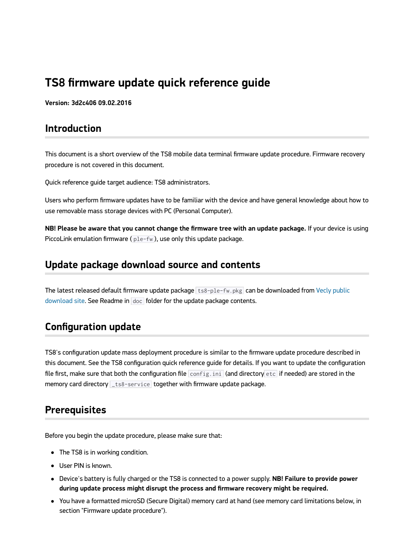# **TS8 firmware update quick reference guide**

**Version: 3d2c406 09.02.2016**

# **Introduction**

This document is a short overview of the TS8 mobile data terminal firmware update procedure. Firmware recovery procedure is not covered in this document.

Quick reference guide target audience: TS8 administrators.

Users who perform firmware updates have to be familiar with the device and have general knowledge about how to use removable mass storage devices with PC (Personal Computer).

**NB! Please be aware that you cannot change the firmware tree with an update package.** If your device is using PiccoLink emulation firmware  $(p 1e-fw)$ , use only this update package.

### **Update package download source and contents**

[The latest released default firmware update package](https://vecly.com/pub/TS8-barcode-rfid-scanner/firmware/) ts8-ple-fw.pkg can be downloaded from Vecly public download site. See Readme in doc folder for the update package contents.

### **Configuration update**

TS8's configuration update mass deployment procedure is similar to the firmware update procedure described in this document. See the TS8 configuration quick reference guide for details. If you want to update the configuration file first, make sure that both the configuration file config.ini (and directory etc if needed) are stored in the memory card directory **the state service** together with firmware update package.

# **Prerequisites**

Before you begin the update procedure, please make sure that:

- The TS8 is in working condition.
- User PIN is known.
- Device's battery is fully charged or the TS8 is connected to a power supply. **NB! Failure to provide power during update process might disrupt the process and firmware recovery might be required.**
- You have a formatted microSD (Secure Digital) memory card at hand (see memory card limitations below, in section "Firmware update procedure").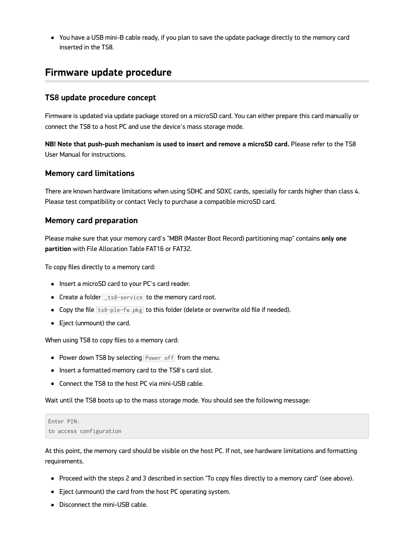You have a USB mini-B cable ready, if you plan to save the update package directly to the memory card inserted in the TS8.

# **Firmware update procedure**

### **TS8 update procedure concept**

Firmware is updated via update package stored on a microSD card. You can either prepare this card manually or connect the TS8 to a host PC and use the device's mass storage mode.

**NB! Note that push-push mechanism is used to insert and remove a microSD card.** Please refer to the TS8 User Manual for instructions.

#### **Memory card limitations**

There are known hardware limitations when using SDHC and SDXC cards, specially for cards higher than class 4. Please test compatibility or contact Vecly to purchase a compatible microSD card.

### **Memory card preparation**

Please make sure that your memory card's "MBR (Master Boot Record) partitioning map" contains **only one partition** with File Allocation Table FAT16 or FAT32.

To copy files directly to a memory card:

- Insert a microSD card to your PC's card reader.
- Create a folder \_ts8-service to the memory card root.
- Copy the file  $ts8-ple-fw.pkg$  to this folder (delete or overwrite old file if needed).
- Eject (unmount) the card.

When using TS8 to copy files to a memory card:

- Power down TS8 by selecting Power off from the menu.
- Insert a formatted memory card to the TS8's card slot.
- Connect the TS8 to the host PC via mini-USB cable.

Wait until the TS8 boots up to the mass storage mode. You should see the following message:

```
Enter PIN:
to access configuration
```
At this point, the memory card should be visible on the host PC. If not, see hardware limitations and formatting requirements.

- Proceed with the steps 2 and 3 described in section "To copy files directly to a memory card" (see above).
- Eject (unmount) the card from the host PC operating system.
- Disconnect the mini-USB cable.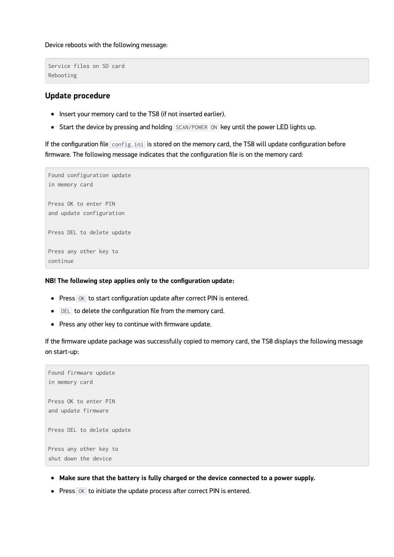Device reboots with the following message:

```
Service files on SD card
Rebooting
```
### **Update procedure**

- Insert your memory card to the TS8 (if not inserted earlier).
- Start the device by pressing and holding SCAN/POWER ON key until the power LED lights up.

If the configuration file  $\overline{\text{config.ini}}$  is stored on the memory card, the TS8 will update configuration before firmware. The following message indicates that the configuration file is on the memory card:



#### **NB! The following step applies only to the configuration update:**

- Press OK to start configuration update after correct PIN is entered.
- $\bullet$  **DEL** to delete the configuration file from the memory card.
- Press any other key to continue with firmware update.

If the firmware update package was successfully copied to memory card, the TS8 displays the following message on start-up:

```
Found firmware update
in memory card
Press OK to enter PIN
and update firmware
Press DEL to delete update
Press any other key to
shut down the device
```
- **Make sure that the battery is fully charged or the device connected to a power supply.**
- $\bullet$  Press  $\overline{OK}$  to initiate the update process after correct PIN is entered.